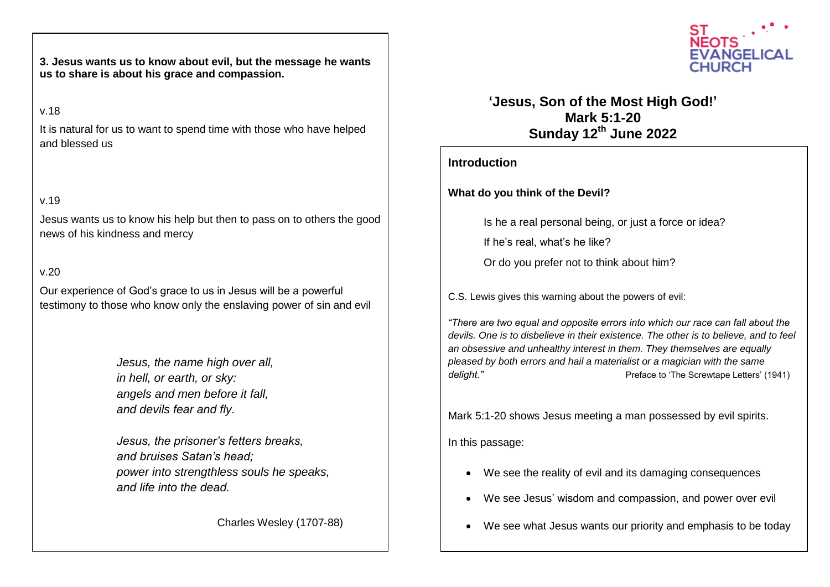**us to share is about his grace and compassion. 3. Jesus wants us to know about evil, but the message he wants** 

## v.18

It is natural for us to want to spend time with those who have helped and blessed us

## v.19

Jesus wants us to know his help but then to pass on to others the good news of his kindness and mercy

## v.20

Our experience of God's grace to us in Jesus will be a powerful testimony to those who know only the enslaving power of sin and evil

> *Jesus, the name high over all, in hell, or earth, or sky: angels and men before it fall, and devils fear and fly.*

*Jesus, the prisoner's fetters breaks, and bruises Satan's head; power into strengthless souls he speaks, and life into the dead.*

Charles Wesley (1707-88)



**'Jesus, Son of the Most High God!' Mark 5:1-20 Sunday 12th June 2022**

## **Introduction**

**What do you think of the Devil?**

Is he a real personal being, or just a force or idea?

If he's real, what's he like?

Or do you prefer not to think about him?

C.S. Lewis gives this warning about the powers of evil:

*"There are two equal and opposite errors into which our race can fall about the devils. One is to disbelieve in their existence. The other is to believe, and to feel an obsessive and unhealthy interest in them. They themselves are equally pleased by both errors and hail a materialist or a magician with the same*  delight." **Preface to 'The Screwtape Letters' (1941)** 

Mark 5:1-20 shows Jesus meeting a man possessed by evil spirits.

In this passage:

- We see the reality of evil and its damaging consequences
- We see Jesus' wisdom and compassion, and power over evil
- We see what Jesus wants our priority and emphasis to be today